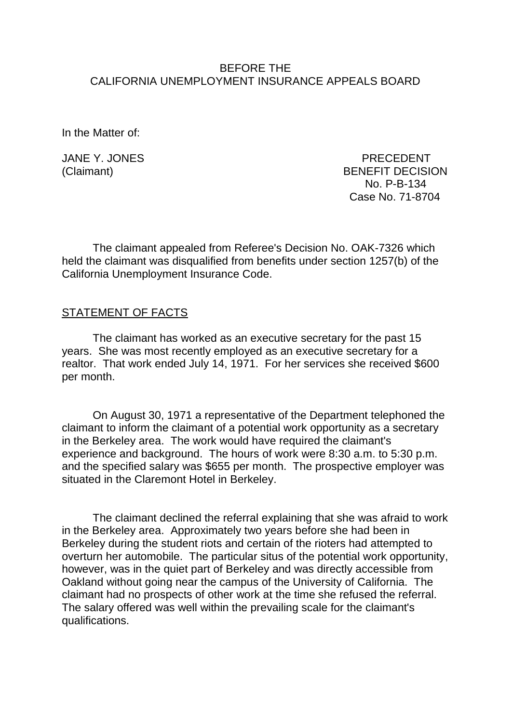### BEFORE THE CALIFORNIA UNEMPLOYMENT INSURANCE APPEALS BOARD

In the Matter of:

JANE Y. JONES PRECEDENT (Claimant) BENEFIT DECISION No. P-B-134 Case No. 71-8704

The claimant appealed from Referee's Decision No. OAK-7326 which held the claimant was disqualified from benefits under section 1257(b) of the California Unemployment Insurance Code.

### STATEMENT OF FACTS

The claimant has worked as an executive secretary for the past 15 years. She was most recently employed as an executive secretary for a realtor. That work ended July 14, 1971. For her services she received \$600 per month.

On August 30, 1971 a representative of the Department telephoned the claimant to inform the claimant of a potential work opportunity as a secretary in the Berkeley area. The work would have required the claimant's experience and background. The hours of work were 8:30 a.m. to 5:30 p.m. and the specified salary was \$655 per month. The prospective employer was situated in the Claremont Hotel in Berkeley.

The claimant declined the referral explaining that she was afraid to work in the Berkeley area. Approximately two years before she had been in Berkeley during the student riots and certain of the rioters had attempted to overturn her automobile. The particular situs of the potential work opportunity, however, was in the quiet part of Berkeley and was directly accessible from Oakland without going near the campus of the University of California. The claimant had no prospects of other work at the time she refused the referral. The salary offered was well within the prevailing scale for the claimant's qualifications.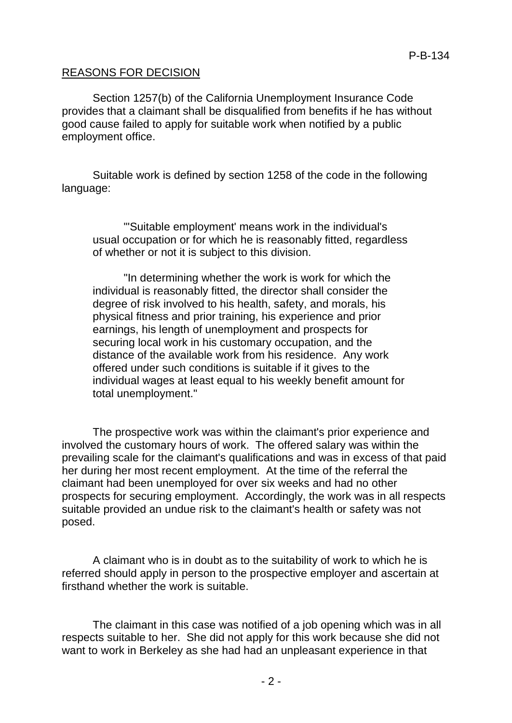### REASONS FOR DECISION

Section 1257(b) of the California Unemployment Insurance Code provides that a claimant shall be disqualified from benefits if he has without good cause failed to apply for suitable work when notified by a public employment office.

Suitable work is defined by section 1258 of the code in the following language:

"'Suitable employment' means work in the individual's usual occupation or for which he is reasonably fitted, regardless of whether or not it is subject to this division.

"In determining whether the work is work for which the individual is reasonably fitted, the director shall consider the degree of risk involved to his health, safety, and morals, his physical fitness and prior training, his experience and prior earnings, his length of unemployment and prospects for securing local work in his customary occupation, and the distance of the available work from his residence. Any work offered under such conditions is suitable if it gives to the individual wages at least equal to his weekly benefit amount for total unemployment."

The prospective work was within the claimant's prior experience and involved the customary hours of work. The offered salary was within the prevailing scale for the claimant's qualifications and was in excess of that paid her during her most recent employment. At the time of the referral the claimant had been unemployed for over six weeks and had no other prospects for securing employment. Accordingly, the work was in all respects suitable provided an undue risk to the claimant's health or safety was not posed.

A claimant who is in doubt as to the suitability of work to which he is referred should apply in person to the prospective employer and ascertain at firsthand whether the work is suitable.

The claimant in this case was notified of a job opening which was in all respects suitable to her. She did not apply for this work because she did not want to work in Berkeley as she had had an unpleasant experience in that